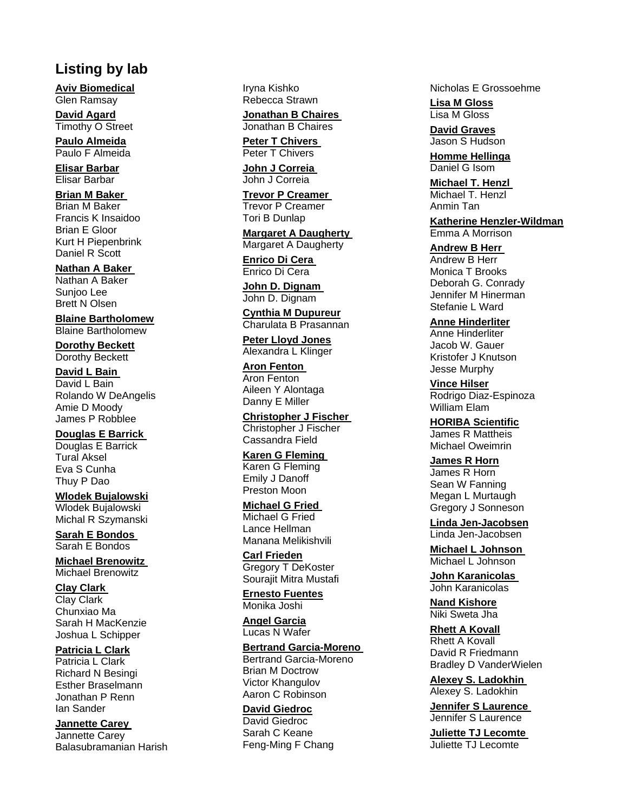# **Listing by lab**

**Aviv Biomedical** Glen Ramsay

**David Agard** Timothy O Street

**Paulo Almeida** Paulo F Almeida

**Elisar Barbar** Elisar Barbar

## **Brian M Baker**

Brian M Baker Francis K Insaidoo Brian E Gloor Kurt H Piepenbrink Daniel R Scott

#### **Nathan A Baker**

Nathan A Baker Sunjoo Lee Brett N Olsen

### **Blaine Bartholomew**

Blaine Bartholomew

**Dorothy Beckett** Dorothy Beckett

## **David L Bain**

David L Bain Rolando W DeAngelis Amie D Moody James P Robblee

**Douglas E Barrick** 

Douglas E Barrick Tural Aksel Eva S Cunha Thuy P Dao

# **Wlodek Bujalowski**

Wlodek Bujalowski Michal R Szymanski

**Sarah E Bondos**  Sarah E Bondos

**Michael Brenowitz**  Michael Brenowitz

**Clay Clark**  Clay Clark

Chunxiao Ma Sarah H MacKenzie Joshua L Schipper

### **Patricia L Clark**

Patricia L Clark Richard N Besingi Esther Braselmann Jonathan P Renn Ian Sander

**Jannette Carey** 

Jannette Carey Balasubramanian Harish Iryna Kishko Rebecca Strawn

**Jonathan B Chaires**  Jonathan B Chaires

**Peter T Chivers**  Peter T Chivers

**John J Correia**  John J Correia

**Trevor P Creamer**  Trevor P Creamer Tori B Dunlap

**Margaret A Daugherty**  Margaret A Daugherty

**Enrico Di Cera** 

Enrico Di Cera

**John D. Dignam**  John D. Dignam

**Cynthia M Dupureur**

Charulata B Prasannan **Peter Lloyd Jones**

Alexandra L Klinger

**Aron Fenton**  Aron Fenton Aileen Y Alontaga Danny E Miller

**Christopher J Fischer** 

Christopher J Fischer Cassandra Field

**Karen G Fleming**  Karen G Fleming Emily J Danoff Preston Moon

### **Michael G Fried**

Michael G Fried Lance Hellman Manana Melikishvili

**Carl Frieden** Gregory T DeKoster Sourajit Mitra Mustafi

**Ernesto Fuentes** Monika Joshi

**Angel Garcia** Lucas N Wafer

#### **Bertrand Garcia-Moreno**

Bertrand Garcia-Moreno Brian M Doctrow Victor Khangulov Aaron C Robinson

# **David Giedroc**

David Giedroc Sarah C Keane Feng-Ming F Chang Nicholas E Grossoehme

**Lisa M Gloss** Lisa M Gloss

**David Graves** Jason S Hudson

**Homme Hellinga** Daniel G Isom

**Michael T. Henzl**  Michael T. Henzl Anmin Tan

**Katherine Henzler-Wildman** Emma A Morrison

**Andrew B Herr** 

Andrew B Herr Monica T Brooks Deborah G. Conrady Jennifer M Hinerman Stefanie L Ward

**Anne Hinderliter** Anne Hinderliter Jacob W. Gauer Kristofer J Knutson Jesse Murphy

**Vince Hilser** Rodrigo Diaz-Espinoza William Elam

**HORIBA Scientific** James R Mattheis Michael Oweimrin

**James R Horn** James R Horn Sean W Fanning Megan L Murtaugh Gregory J Sonneson

**Linda Jen-Jacobsen** Linda Jen-Jacobsen

**Michael L Johnson**  Michael L Johnson

**John Karanicolas**  John Karanicolas

**Nand Kishore** Niki Sweta Jha

**Rhett A Kovall** Rhett A Kovall David R Friedmann Bradley D VanderWielen

**Alexey S. Ladokhin**  Alexey S. Ladokhin

**Jennifer S Laurence**  Jennifer S Laurence

**Juliette TJ Lecomte**  Juliette TJ Lecomte